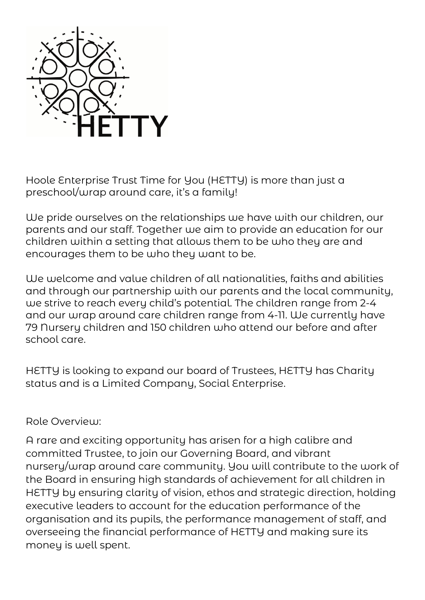

Hoole Enterprise Trust Time for You (HETTY) is more than just a preschool/wrap around care, it's a family!

We pride ourselves on the relationships we have with our children, our parents and our staff. Together we aim to provide an education for our children within a setting that allows them to be who they are and encourages them to be who they want to be.

We welcome and value children of all nationalities, faiths and abilities and through our partnership with our parents and the local community, we strive to reach every child's potential. The children range from 2-4 and our wrap around care children range from 4-11. We currently have 79 Nursery children and 150 children who attend our before and after school care.

HETTY is looking to expand our board of Trustees, HETTY has Charity status and is a Limited Company, Social Enterprise.

## Role Overview:

A rare and exciting opportunity has arisen for a high calibre and committed Trustee, to join our Governing Board, and vibrant nursery/wrap around care community. You will contribute to the work of the Board in ensuring high standards of achievement for all children in HETTY by ensuring clarity of vision, ethos and strategic direction, holding executive leaders to account for the education performance of the organisation and its pupils, the performance management of staff, and overseeing the financial performance of HETTY and making sure its money is well spent.